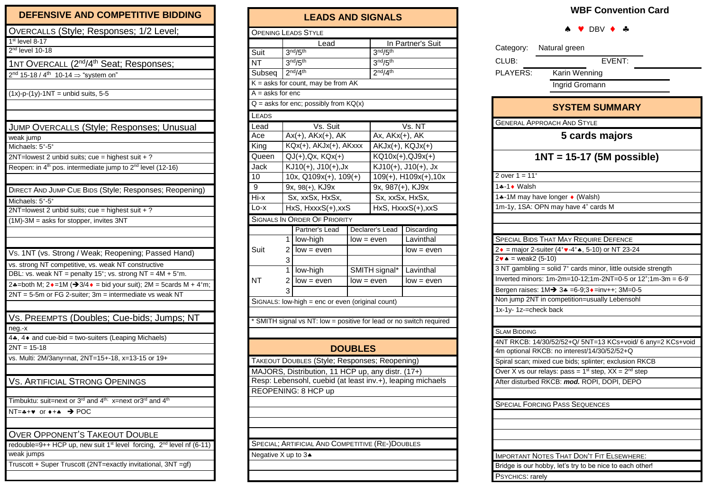## DEFENSIVE AND COMPETITIVE BIDDING

| OVERCALLS (Style; Responses; 1/2 Level;                                                                  |
|----------------------------------------------------------------------------------------------------------|
| 1st level 8-17                                                                                           |
| 2 <sup>nd</sup> level 10-18                                                                              |
| 1NT OVERCALL (2 <sup>nd</sup> /4 <sup>th</sup> Seat; Responses;                                          |
| $2nd$ 15-18 / 4 <sup>th</sup> 10-14 $\Rightarrow$ "system on"                                            |
|                                                                                                          |
| $(1x)$ -p- $(1y)$ -1NT = unbid suits, 5-5                                                                |
|                                                                                                          |
|                                                                                                          |
|                                                                                                          |
| JUMP OVERCALLS (Style; Responses; Unusual                                                                |
| weak jump                                                                                                |
| Michaels: 5+-5+                                                                                          |
| 2NT=lowest 2 unbid suits; cue = highest suit + ?                                                         |
| Reopen: in 4 <sup>th</sup> pos. intermediate jump to 2 <sup>nd</sup> level (12-16)                       |
|                                                                                                          |
| DIRECT AND JUMP CUE BIDS (Style; Responses; Reopening)                                                   |
| Michaels: 5+-5+                                                                                          |
| 2NT=lowest 2 unbid suits; cue = highest suit + ?                                                         |
| $(1M)$ -3M = asks for stopper, invites 3NT                                                               |
|                                                                                                          |
|                                                                                                          |
|                                                                                                          |
| Vs. 1NT (vs. Strong / Weak; Reopening; Passed Hand)                                                      |
| vs. strong NT competitive, vs. weak NT constructive                                                      |
| DBL: vs. weak NT = penalty $15^{\circ}$ ; vs. strong NT = $4M + 5^{\circ}$ m.                            |
| 2.4=both M; $2 \cdot 1M$ ( $3/4 \cdot 1M$ = bid your suit); $2M = 5$ cards M + 4 <sup>+</sup> m;         |
| $2NT = 5-5m$ or FG 2-suiter; $3m =$ intermediate vs weak NT                                              |
|                                                                                                          |
| VS. PREEMPTS (Doubles; Cue-bids; Jumps; NT                                                               |
| neg.-x                                                                                                   |
| 4*, 4* and cue-bid = two-suiters (Leaping Michaels)                                                      |
| $2NT = 15-18$                                                                                            |
| vs. Multi: 2M/3any=nat, 2NT=15+-18, x=13-15 or 19+                                                       |
|                                                                                                          |
|                                                                                                          |
| <b>VS. ARTIFICIAL STRONG OPENINGS</b>                                                                    |
|                                                                                                          |
| Timbuktu: suit=next or 3 <sup>rd</sup> and 4 <sup>th;</sup> x=next or3 <sup>rd</sup> and 4 <sup>th</sup> |
| $NT = + * * or * + *$<br>$\rightarrow$ POC                                                               |
|                                                                                                          |
| <b>OVER OPPONENT'S TAKEOUT DOUBLE</b>                                                                    |
| redouble=9++ HCP up, new suit 1 <sup>st</sup> level forcing, 2 <sup>nd</sup> level nf (6-11)             |
| weak jumps                                                                                               |
| Truscott + Super Truscott (2NT=exactly invitational, 3NT = gf)                                           |
|                                                                                                          |
|                                                                                                          |

| <b>LEADS AND SIGNALS</b>                                                                                        |                                  |                                                  |              |                                  |                       |  |  |  |  |  |  |
|-----------------------------------------------------------------------------------------------------------------|----------------------------------|--------------------------------------------------|--------------|----------------------------------|-----------------------|--|--|--|--|--|--|
| <b>OPENING LEADS STYLE</b>                                                                                      |                                  |                                                  |              |                                  |                       |  |  |  |  |  |  |
|                                                                                                                 | Lead                             |                                                  |              | In Partner's Suit                |                       |  |  |  |  |  |  |
| Suit                                                                                                            |                                  | 3 <sup>nd</sup> /5 <sup>th</sup>                 |              | 3 <sup>nd</sup> /5 <sup>th</sup> |                       |  |  |  |  |  |  |
| <b>NT</b>                                                                                                       | 3 <sup>nd</sup> /5 <sup>th</sup> |                                                  |              | 3 <sup>nd</sup> /5 <sup>th</sup> |                       |  |  |  |  |  |  |
| Subseq                                                                                                          |                                  | 2 <sup>nd</sup> /4 <sup>th</sup>                 |              | 2 <sup>nd</sup> /4 <sup>th</sup> |                       |  |  |  |  |  |  |
| $K =$ asks for count, may be from AK                                                                            |                                  |                                                  |              |                                  |                       |  |  |  |  |  |  |
| $A = a$ sks for enc                                                                                             |                                  |                                                  |              |                                  |                       |  |  |  |  |  |  |
| $Q =$ asks for enc; possibly from $KQ(x)$                                                                       |                                  |                                                  |              |                                  |                       |  |  |  |  |  |  |
| LEADS                                                                                                           |                                  |                                                  |              |                                  |                       |  |  |  |  |  |  |
| Lead                                                                                                            |                                  | Vs. Suit                                         |              | Vs. NT                           |                       |  |  |  |  |  |  |
| Ace                                                                                                             |                                  | $Ax(+), AKx(+), AK$                              |              | Ax, AKx(+), AK                   |                       |  |  |  |  |  |  |
| King                                                                                                            |                                  | KQx(+), AKJx(+), AKxxx                           |              | $AKJx(+)$ , $KQJx(+)$            |                       |  |  |  |  |  |  |
| Queen                                                                                                           |                                  | $QJ(+)$ , $Qx$ , $KQx(+)$                        |              | KQ10x(+),QJ9x(+)                 |                       |  |  |  |  |  |  |
| Jack                                                                                                            |                                  | KJ10(+), J10(+), Jx                              |              | KJ10(+), J10(+), Jx              |                       |  |  |  |  |  |  |
| 10                                                                                                              |                                  | 10x, Q109x(+), 109(+)                            |              |                                  | 109(+), H109x(+), 10x |  |  |  |  |  |  |
| 9                                                                                                               |                                  | 9x, 98(+), KJ9x                                  |              |                                  | 9x, 987(+), KJ9x      |  |  |  |  |  |  |
| Hi-x                                                                                                            |                                  | Sx, xxSx, HxSx,                                  |              |                                  | Sx, xxSx, HxSx,       |  |  |  |  |  |  |
| Lo-x                                                                                                            |                                  | HxS, HxxxS(+), xxS                               |              |                                  | HxS, HxxxS(+), xxS    |  |  |  |  |  |  |
|                                                                                                                 |                                  | <b>SIGNALS IN ORDER OF PRIORITY</b>              |              |                                  |                       |  |  |  |  |  |  |
|                                                                                                                 |                                  | Partner's Lead                                   |              | Declarer's Lead                  | Discarding            |  |  |  |  |  |  |
|                                                                                                                 | 1                                | low-high                                         | $low = even$ |                                  | Lavinthal             |  |  |  |  |  |  |
| Suit                                                                                                            | 2                                | $low = even$                                     |              |                                  | $low = even$          |  |  |  |  |  |  |
|                                                                                                                 | 3                                |                                                  |              |                                  |                       |  |  |  |  |  |  |
|                                                                                                                 | 1                                | low-high                                         |              | SMITH signal*                    | Lavinthal             |  |  |  |  |  |  |
| NT                                                                                                              | $\overline{c}$                   | $low = even$                                     | low = even   |                                  | low = even            |  |  |  |  |  |  |
|                                                                                                                 | 3                                |                                                  |              |                                  |                       |  |  |  |  |  |  |
|                                                                                                                 |                                  | SIGNALS: low-high = enc or even (original count) |              |                                  |                       |  |  |  |  |  |  |
|                                                                                                                 |                                  |                                                  |              |                                  |                       |  |  |  |  |  |  |
| * SMITH signal vs NT: low = positive for lead or no switch required                                             |                                  |                                                  |              |                                  |                       |  |  |  |  |  |  |
|                                                                                                                 |                                  |                                                  |              |                                  |                       |  |  |  |  |  |  |
| <b>DOUBLES</b>                                                                                                  |                                  |                                                  |              |                                  |                       |  |  |  |  |  |  |
| TAKEOUT DOUBLES (Style; Responses; Reopening)                                                                   |                                  |                                                  |              |                                  |                       |  |  |  |  |  |  |
|                                                                                                                 |                                  |                                                  |              |                                  |                       |  |  |  |  |  |  |
| MAJORS, Distribution, 11 HCP up, any distr. (17+)<br>Resp: Lebensohl, cuebid (at least inv.+), leaping michaels |                                  |                                                  |              |                                  |                       |  |  |  |  |  |  |
| REOPENING: 8 HCP up                                                                                             |                                  |                                                  |              |                                  |                       |  |  |  |  |  |  |
|                                                                                                                 |                                  |                                                  |              |                                  |                       |  |  |  |  |  |  |
|                                                                                                                 |                                  |                                                  |              |                                  |                       |  |  |  |  |  |  |
|                                                                                                                 |                                  |                                                  |              |                                  |                       |  |  |  |  |  |  |
|                                                                                                                 |                                  |                                                  |              |                                  |                       |  |  |  |  |  |  |
| SPECIAL; ARTIFICIAL AND COMPETITIVE (RE-)DOUBLES                                                                |                                  |                                                  |              |                                  |                       |  |  |  |  |  |  |
| Negative X up to 3.                                                                                             |                                  |                                                  |              |                                  |                       |  |  |  |  |  |  |
|                                                                                                                 |                                  |                                                  |              |                                  |                       |  |  |  |  |  |  |
|                                                                                                                 |                                  |                                                  |              |                                  |                       |  |  |  |  |  |  |

## **WBF Convention Card**

## $\wedge \vee$  DBV  $\wedge \wedge$

| Category: Natural green                                                                              |  |  |  |  |  |  |  |  |  |
|------------------------------------------------------------------------------------------------------|--|--|--|--|--|--|--|--|--|
| EVENT:<br>CLUB:                                                                                      |  |  |  |  |  |  |  |  |  |
| PLAYERS:<br>Karin Wenning                                                                            |  |  |  |  |  |  |  |  |  |
| Ingrid Gromann                                                                                       |  |  |  |  |  |  |  |  |  |
|                                                                                                      |  |  |  |  |  |  |  |  |  |
| <b>SYSTEM SUMMARY</b>                                                                                |  |  |  |  |  |  |  |  |  |
| <b>GENERAL APPROACH AND STYLE</b>                                                                    |  |  |  |  |  |  |  |  |  |
| 5 cards majors                                                                                       |  |  |  |  |  |  |  |  |  |
| $1NT = 15-17 (5M possible)$                                                                          |  |  |  |  |  |  |  |  |  |
| 2 over $1 = 11+$                                                                                     |  |  |  |  |  |  |  |  |  |
| 1.4-1 ♦ Walsh                                                                                        |  |  |  |  |  |  |  |  |  |
| 14-1M may have longer • (Walsh)                                                                      |  |  |  |  |  |  |  |  |  |
| 1m-1y, 1SA: OPN may have 4 <sup>+</sup> cards M                                                      |  |  |  |  |  |  |  |  |  |
|                                                                                                      |  |  |  |  |  |  |  |  |  |
|                                                                                                      |  |  |  |  |  |  |  |  |  |
| SPECIAL BIDS THAT MAY REQUIRE DEFENCE                                                                |  |  |  |  |  |  |  |  |  |
| $2 \cdot =$ major 2-suiter (4 <sup>+</sup> $\cdot$ -4 <sup>+</sup> $\cdot$ , 5-10) or NT 23-24       |  |  |  |  |  |  |  |  |  |
| $2 \cdot \bullet$ = weak2 (5-10)<br>3 NT gambling = solid $7^+$ cards minor, little outside strength |  |  |  |  |  |  |  |  |  |
| Inverted minors: $1m-2m=10-12; 1m-2NT=0-5$ or $12^{\circ}; 1m-3m = 6-9^{\circ}$                      |  |  |  |  |  |  |  |  |  |
| Bergen raises: 1M→ 3* =6-9;3+=inv++; 3M=0-5                                                          |  |  |  |  |  |  |  |  |  |
| Non jump 2NT in competition=usually Lebensohl                                                        |  |  |  |  |  |  |  |  |  |
| 1x-1y-1z-=check back                                                                                 |  |  |  |  |  |  |  |  |  |
|                                                                                                      |  |  |  |  |  |  |  |  |  |
| <b>SLAM BIDDING</b>                                                                                  |  |  |  |  |  |  |  |  |  |
| 4NT RKCB: 14/30/52/52+Q/ 5NT=13 KCs+void/ 6 any=2 KCs+void                                           |  |  |  |  |  |  |  |  |  |
| 4m optional RKCB: no interest/14/30/52/52+Q                                                          |  |  |  |  |  |  |  |  |  |
| Spiral scan; mixed cue bids; splinter; exclusion RKCB                                                |  |  |  |  |  |  |  |  |  |
| Over X vs our relays: pass = $1st$ step, $XX = 2nd$ step                                             |  |  |  |  |  |  |  |  |  |
| After disturbed RKCB: mod. ROPI, DOPI, DEPO                                                          |  |  |  |  |  |  |  |  |  |
|                                                                                                      |  |  |  |  |  |  |  |  |  |
| <b>SPECIAL FORCING PASS SEQUENCES</b>                                                                |  |  |  |  |  |  |  |  |  |
|                                                                                                      |  |  |  |  |  |  |  |  |  |
|                                                                                                      |  |  |  |  |  |  |  |  |  |
|                                                                                                      |  |  |  |  |  |  |  |  |  |
| <b>IMPORTANT NOTES THAT DON'T FIT ELSEWHERE:</b>                                                     |  |  |  |  |  |  |  |  |  |
| Bridge is our hobby, let's try to be nice to each other!                                             |  |  |  |  |  |  |  |  |  |
| PSYCHICS: rarely                                                                                     |  |  |  |  |  |  |  |  |  |